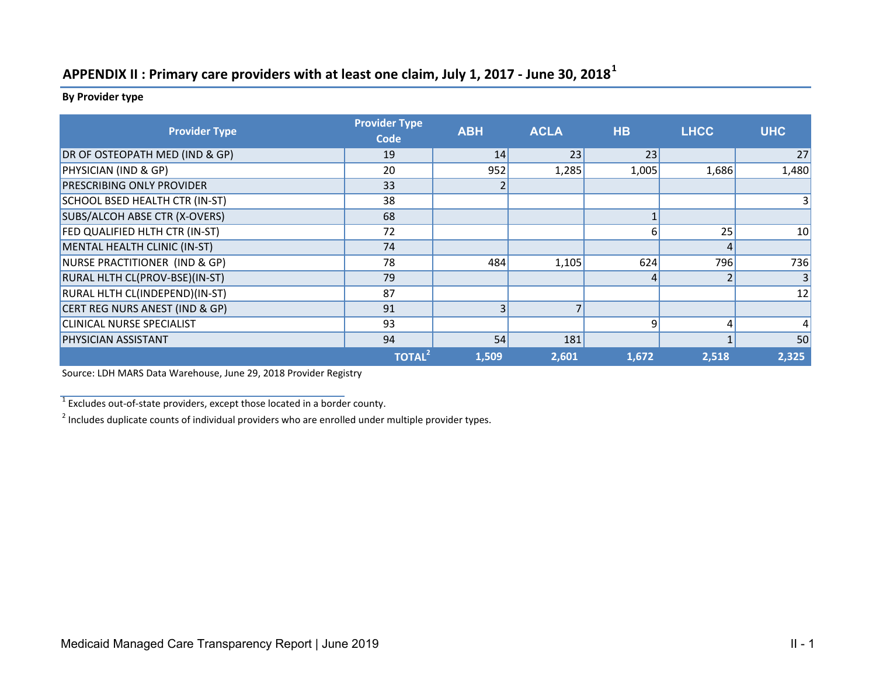## **APPENDIX II : Primary care providers with at least one claim, July 1, 2017 ‐ June 30, 2018<sup>1</sup>**

**By Provider type**

| <b>Provider Type</b>             | <b>Provider Type</b><br><b>Code</b> | <b>ABH</b> | <b>ACLA</b> | <b>HB</b> | <b>LHCC</b> | <b>UHC</b>    |
|----------------------------------|-------------------------------------|------------|-------------|-----------|-------------|---------------|
| DR OF OSTEOPATH MED (IND & GP)   | 19                                  | 14         | 23          | 23        |             | 27            |
| PHYSICIAN (IND & GP)             | 20                                  | 952        | 1,285       | 1,005     | 1,686       | 1,480         |
| <b>PRESCRIBING ONLY PROVIDER</b> | 33                                  |            |             |           |             |               |
| SCHOOL BSED HEALTH CTR (IN-ST)   | 38                                  |            |             |           |             | 3             |
| SUBS/ALCOH ABSE CTR (X-OVERS)    | 68                                  |            |             |           |             |               |
| FED QUALIFIED HLTH CTR (IN-ST)   | 72                                  |            |             | 6         | 25          | 10            |
| MENTAL HEALTH CLINIC (IN-ST)     | 74                                  |            |             |           |             |               |
| NURSE PRACTITIONER (IND & GP)    | 78                                  | 484        | 1,105       | 624       | 796         | 736           |
| RURAL HLTH CL(PROV-BSE)(IN-ST)   | 79                                  |            |             |           |             | 3             |
| RURAL HLTH CL(INDEPEND)(IN-ST)   | 87                                  |            |             |           |             | 12            |
| CERT REG NURS ANEST (IND & GP)   | 91                                  | 3          |             |           |             |               |
| <b>CLINICAL NURSE SPECIALIST</b> | 93                                  |            |             | 9         | 4           | $\frac{4}{ }$ |
| <b>PHYSICIAN ASSISTANT</b>       | 94                                  | 54         | 181         |           |             | 50            |
|                                  | TOTAL <sup>2</sup>                  | 1,509      | 2,601       | 1,672     | 2,518       | 2,325         |

Source: LDH MARS Data Warehouse, June 29, 2018 Provider Registry

 $1$  Excludes out-of-state providers, except those located in a border county.

<sup>2</sup> Includes duplicate counts of individual providers who are enrolled under multiple provider types.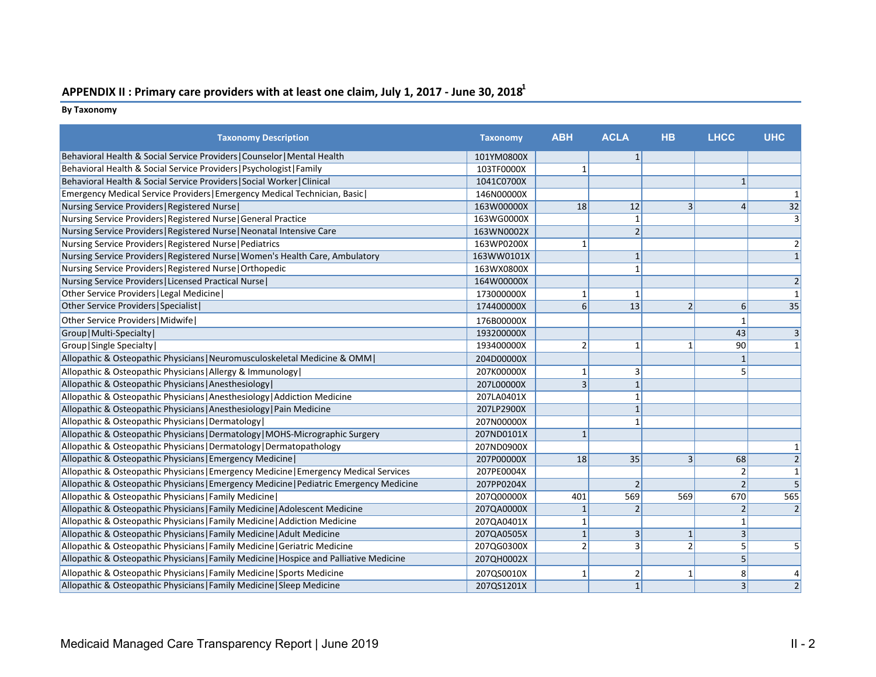## **APPENDIX II : Primary care providers with at least one claim, July 1, 2017 ‐ June 30, 20181**

## **By Taxonomy**

| <b>Taxonomy Description</b>                                                             | <b>Taxonomy</b> | <b>ABH</b>     | <b>ACLA</b>    | <b>HB</b>                | <b>LHCC</b>     | <b>UHC</b>     |
|-----------------------------------------------------------------------------------------|-----------------|----------------|----------------|--------------------------|-----------------|----------------|
| Behavioral Health & Social Service Providers   Counselor   Mental Health                | 101YM0800X      |                | $\mathbf{1}$   |                          |                 |                |
| Behavioral Health & Social Service Providers   Psychologist   Family                    | 103TF0000X      | $\mathbf{1}$   |                |                          |                 |                |
| Behavioral Health & Social Service Providers   Social Worker   Clinical                 | 1041C0700X      |                |                |                          | $1\vert$        |                |
| Emergency Medical Service Providers   Emergency Medical Technician, Basic               | 146N00000X      |                |                |                          |                 |                |
| Nursing Service Providers   Registered Nurse                                            | 163W00000X      | 18             | 12             | 3                        | $\overline{4}$  | 32             |
| Nursing Service Providers   Registered Nurse   General Practice                         | 163WG0000X      |                | $\mathbf{1}$   |                          |                 | $\overline{3}$ |
| Nursing Service Providers   Registered Nurse   Neonatal Intensive Care                  | 163WN0002X      |                | $\overline{2}$ |                          |                 |                |
| Nursing Service Providers   Registered Nurse   Pediatrics                               | 163WP0200X      | $\mathbf{1}$   |                |                          |                 |                |
| Nursing Service Providers   Registered Nurse   Women's Health Care, Ambulatory          | 163WW0101X      |                | $\mathbf{1}$   |                          |                 |                |
| Nursing Service Providers   Registered Nurse   Orthopedic                               | 163WX0800X      |                |                |                          |                 |                |
| Nursing Service Providers   Licensed Practical Nurse                                    | 164W00000X      |                |                |                          |                 |                |
| Other Service Providers   Legal Medicine                                                | 173000000X      | $1\vert$       | $\mathbf{1}$   |                          |                 |                |
| Other Service Providers   Specialist                                                    | 174400000X      | 6 <sup>1</sup> | 13             | $\overline{2}$           | $6\vert$        | 35             |
| Other Service Providers   Midwife                                                       | 176B00000X      |                |                |                          |                 |                |
| Group   Multi-Specialty                                                                 | 193200000X      |                |                |                          | 43              |                |
| Group   Single Specialty                                                                | 193400000X      | $\overline{2}$ | $\mathbf{1}$   | 1                        | 90 <sup>°</sup> |                |
| Allopathic & Osteopathic Physicians   Neuromusculoskeletal Medicine & OMM               | 204D00000X      |                |                |                          | $\mathbf{1}$    |                |
| Allopathic & Osteopathic Physicians   Allergy & Immunology                              | 207K00000X      | 1              | 3              |                          | 5               |                |
| Allopathic & Osteopathic Physicians   Anesthesiology                                    | 207L00000X      | 3              | $\mathbf{1}$   |                          |                 |                |
| Allopathic & Osteopathic Physicians   Anesthesiology   Addiction Medicine               | 207LA0401X      |                | $\mathbf{1}$   |                          |                 |                |
| Allopathic & Osteopathic Physicians   Anesthesiology   Pain Medicine                    | 207LP2900X      |                | $\mathbf{1}$   |                          |                 |                |
| Allopathic & Osteopathic Physicians   Dermatology                                       | 207N00000X      |                |                |                          |                 |                |
| Allopathic & Osteopathic Physicians   Dermatology   MOHS-Micrographic Surgery           | 207ND0101X      | $\mathbf{1}$   |                |                          |                 |                |
| Allopathic & Osteopathic Physicians   Dermatology   Dermatopathology                    | 207ND0900X      |                |                |                          |                 |                |
| Allopathic & Osteopathic Physicians   Emergency Medicine                                | 207P00000X      | 18             | 35             | 3                        | 68              | $\overline{2}$ |
| Allopathic & Osteopathic Physicians   Emergency Medicine   Emergency Medical Services   | 207PE0004X      |                |                |                          | $\overline{2}$  | $\mathbf{1}$   |
| Allopathic & Osteopathic Physicians   Emergency Medicine   Pediatric Emergency Medicine | 207PP0204X      |                | $\overline{2}$ |                          | 2 <sup>1</sup>  | 5              |
| Allopathic & Osteopathic Physicians   Family Medicine                                   | 207Q00000X      | 401            | 569            | 569                      | 670             | 565            |
| Allopathic & Osteopathic Physicians   Family Medicine   Adolescent Medicine             | 207QA0000X      | 1              | $\overline{2}$ |                          | 2               | $\overline{2}$ |
| Allopathic & Osteopathic Physicians   Family Medicine   Addiction Medicine              | 207QA0401X      | $\mathbf{1}$   |                |                          | $\mathbf{1}$    |                |
| Allopathic & Osteopathic Physicians   Family Medicine   Adult Medicine                  | 207QA0505X      | $\mathbf{1}$   | $\overline{3}$ | $\mathbf{1}$             | 3               |                |
| Allopathic & Osteopathic Physicians   Family Medicine   Geriatric Medicine              | 207QG0300X      | $\overline{2}$ | $\overline{3}$ | $\overline{\phantom{a}}$ | 5               | 5              |
| Allopathic & Osteopathic Physicians   Family Medicine   Hospice and Palliative Medicine | 207QH0002X      |                |                |                          | 5               |                |
| Allopathic & Osteopathic Physicians   Family Medicine   Sports Medicine                 | 207QS0010X      |                | 2              | 1                        | 8               |                |
| Allopathic & Osteopathic Physicians   Family Medicine   Sleep Medicine                  | 207QS1201X      |                | $\mathbf{1}$   |                          | $\overline{3}$  | $\overline{2}$ |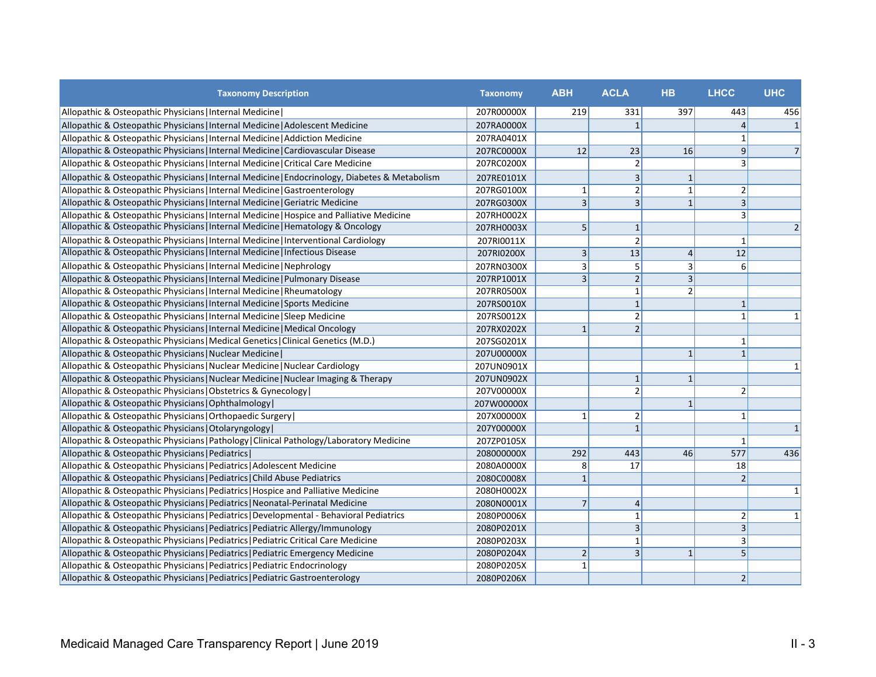| <b>Taxonomy Description</b>                                                                    | <b>Taxonomy</b> | <b>ABH</b>     | <b>ACLA</b>             | <b>HB</b>                | <b>LHCC</b>    | <b>UHC</b>     |
|------------------------------------------------------------------------------------------------|-----------------|----------------|-------------------------|--------------------------|----------------|----------------|
| Allopathic & Osteopathic Physicians   Internal Medicine                                        | 207R00000X      | 219            | 331                     | 397                      | 443            | 456            |
| Allopathic & Osteopathic Physicians   Internal Medicine   Adolescent Medicine                  | 207RA0000X      |                | $\overline{1}$          |                          | $\vert$        | $\vert$ 1      |
| Allopathic & Osteopathic Physicians   Internal Medicine   Addiction Medicine                   | 207RA0401X      |                |                         |                          |                |                |
| Allopathic & Osteopathic Physicians   Internal Medicine   Cardiovascular Disease               | 207RC0000X      | 12             | 23                      | 16                       | $\overline{9}$ | 7              |
| Allopathic & Osteopathic Physicians   Internal Medicine   Critical Care Medicine               | 207RC0200X      |                | $\overline{2}$          |                          |                |                |
| Allopathic & Osteopathic Physicians   Internal Medicine   Endocrinology, Diabetes & Metabolism | 207RE0101X      |                | $\overline{3}$          | $\mathbf{1}$             |                |                |
| Allopathic & Osteopathic Physicians   Internal Medicine   Gastroenterology                     | 207RG0100X      | $1\vert$       | $\overline{2}$          | $\mathbf{1}$             | 2              |                |
| Allopathic & Osteopathic Physicians   Internal Medicine   Geriatric Medicine                   | 207RG0300X      | $\vert$ 3      | $\overline{\mathbf{3}}$ | $\mathbf{1}$             | 3              |                |
| Allopathic & Osteopathic Physicians   Internal Medicine   Hospice and Palliative Medicine      | 207RH0002X      |                |                         |                          | 3              |                |
| Allopathic & Osteopathic Physicians   Internal Medicine   Hematology & Oncology                | 207RH0003X      | 5 <sup>1</sup> | $\mathbf{1}$            |                          |                | 2 <sup>1</sup> |
| Allopathic & Osteopathic Physicians   Internal Medicine   Interventional Cardiology            | 207RI0011X      |                | $\overline{2}$          |                          |                |                |
| Allopathic & Osteopathic Physicians   Internal Medicine   Infectious Disease                   | 207RI0200X      | $\vert$ 3      | 13                      | $\overline{4}$           | 12             |                |
| Allopathic & Osteopathic Physicians   Internal Medicine   Nephrology                           | 207RN0300X      | $\vert$ 3      | 5                       | 3                        | 6              |                |
| Allopathic & Osteopathic Physicians   Internal Medicine   Pulmonary Disease                    | 207RP1001X      | $\vert$ 3      | $\overline{2}$          | $\overline{3}$           |                |                |
| Allopathic & Osteopathic Physicians   Internal Medicine   Rheumatology                         | 207RR0500X      |                | 1                       | $\overline{\phantom{a}}$ |                |                |
| Allopathic & Osteopathic Physicians   Internal Medicine   Sports Medicine                      | 207RS0010X      |                | $\mathbf{1}$            |                          | 1              |                |
| Allopathic & Osteopathic Physicians   Internal Medicine   Sleep Medicine                       | 207RS0012X      |                | $\overline{2}$          |                          |                |                |
| Allopathic & Osteopathic Physicians   Internal Medicine   Medical Oncology                     | 207RX0202X      | $1\vert$       | $\overline{2}$          |                          |                |                |
| Allopathic & Osteopathic Physicians   Medical Genetics   Clinical Genetics (M.D.)              | 207SG0201X      |                |                         |                          |                |                |
| Allopathic & Osteopathic Physicians   Nuclear Medicine                                         | 207U00000X      |                |                         | $\mathbf{1}$             | 1              |                |
| Allopathic & Osteopathic Physicians   Nuclear Medicine   Nuclear Cardiology                    | 207UN0901X      |                |                         |                          |                |                |
| Allopathic & Osteopathic Physicians   Nuclear Medicine   Nuclear Imaging & Therapy             | 207UN0902X      |                | $\mathbf{1}$            | $\mathbf{1}$             |                |                |
| Allopathic & Osteopathic Physicians   Obstetrics & Gynecology                                  | 207V00000X      |                | $\overline{2}$          |                          | 2              |                |
| Allopathic & Osteopathic Physicians   Ophthalmology                                            | 207W00000X      |                |                         | $\mathbf{1}$             |                |                |
| Allopathic & Osteopathic Physicians   Orthopaedic Surgery                                      | 207X00000X      | $1\vert$       | $\overline{2}$          |                          |                |                |
| Allopathic & Osteopathic Physicians   Otolaryngology                                           | 207Y00000X      |                | $\overline{1}$          |                          |                | 1              |
| Allopathic & Osteopathic Physicians   Pathology   Clinical Pathology/Laboratory Medicine       | 207ZP0105X      |                |                         |                          |                |                |
| Allopathic & Osteopathic Physicians   Pediatrics                                               | 208000000X      | 292            | 443                     | 46                       | 577            | 436            |
| Allopathic & Osteopathic Physicians   Pediatrics   Adolescent Medicine                         | 2080A0000X      | 8 <sup>1</sup> | 17                      |                          | 18             |                |
| Allopathic & Osteopathic Physicians   Pediatrics   Child Abuse Pediatrics                      | 2080C0008X      | $\mathbf{1}$   |                         |                          |                |                |
| Allopathic & Osteopathic Physicians   Pediatrics   Hospice and Palliative Medicine             | 2080H0002X      |                |                         |                          |                | 1              |
| Allopathic & Osteopathic Physicians   Pediatrics   Neonatal-Perinatal Medicine                 | 2080N0001X      | 7              | $\overline{4}$          |                          |                |                |
| Allopathic & Osteopathic Physicians   Pediatrics   Developmental - Behavioral Pediatrics       | 2080P0006X      |                | $\mathbf{1}$            |                          |                | $1\vert$       |
| Allopathic & Osteopathic Physicians   Pediatrics   Pediatric Allergy/Immunology                | 2080P0201X      |                | $\overline{\mathbf{3}}$ |                          | 3              |                |
| Allopathic & Osteopathic Physicians   Pediatrics   Pediatric Critical Care Medicine            | 2080P0203X      |                | $\mathbf{1}$            |                          |                |                |
| Allopathic & Osteopathic Physicians   Pediatrics   Pediatric Emergency Medicine                | 2080P0204X      | 2              | $\overline{3}$          | $\mathbf{1}$             |                |                |
| Allopathic & Osteopathic Physicians   Pediatrics   Pediatric Endocrinology                     | 2080P0205X      | $\mathbf{1}$   |                         |                          |                |                |
| Allopathic & Osteopathic Physicians   Pediatrics   Pediatric Gastroenterology                  | 2080P0206X      |                |                         |                          | $\overline{2}$ |                |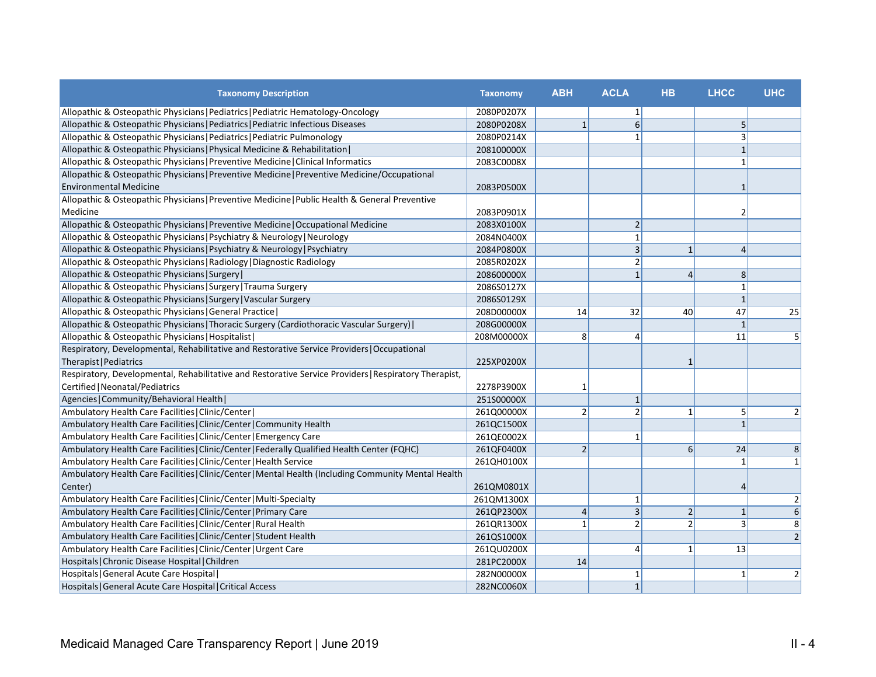| <b>Taxonomy Description</b>                                                                           | <b>Taxonomy</b> | <b>ABH</b>     | <b>ACLA</b>             | <b>HB</b>      | <b>LHCC</b>  | <b>UHC</b>     |
|-------------------------------------------------------------------------------------------------------|-----------------|----------------|-------------------------|----------------|--------------|----------------|
| Allopathic & Osteopathic Physicians   Pediatrics   Pediatric Hematology-Oncology                      | 2080P0207X      |                | $\mathbf{1}$            |                |              |                |
| Allopathic & Osteopathic Physicians   Pediatrics   Pediatric Infectious Diseases                      | 2080P0208X      | $\mathbf{1}$   | 6                       |                | 5            |                |
| Allopathic & Osteopathic Physicians   Pediatrics   Pediatric Pulmonology                              | 2080P0214X      |                | $\mathbf{1}$            |                | 3            |                |
| Allopathic & Osteopathic Physicians   Physical Medicine & Rehabilitation                              | 208100000X      |                |                         |                | $\mathbf{1}$ |                |
| Allopathic & Osteopathic Physicians   Preventive Medicine   Clinical Informatics                      | 2083C0008X      |                |                         |                | 1            |                |
| Allopathic & Osteopathic Physicians   Preventive Medicine   Preventive Medicine/Occupational          |                 |                |                         |                |              |                |
| <b>Environmental Medicine</b>                                                                         | 2083P0500X      |                |                         |                | 1            |                |
| Allopathic & Osteopathic Physicians   Preventive Medicine   Public Health & General Preventive        |                 |                |                         |                |              |                |
| Medicine                                                                                              | 2083P0901X      |                |                         |                | 2            |                |
| Allopathic & Osteopathic Physicians   Preventive Medicine   Occupational Medicine                     | 2083X0100X      |                | $2\vert$                |                |              |                |
| Allopathic & Osteopathic Physicians   Psychiatry & Neurology   Neurology                              | 2084N0400X      |                | $\mathbf{1}$            |                |              |                |
| Allopathic & Osteopathic Physicians   Psychiatry & Neurology   Psychiatry                             | 2084P0800X      |                | 3                       | $\mathbf{1}$   | 4            |                |
| Allopathic & Osteopathic Physicians   Radiology   Diagnostic Radiology                                | 2085R0202X      |                | $\overline{2}$          |                |              |                |
| Allopathic & Osteopathic Physicians   Surgery                                                         | 208600000X      |                | 1                       | $\overline{4}$ | 8            |                |
| Allopathic & Osteopathic Physicians   Surgery   Trauma Surgery                                        | 2086S0127X      |                |                         |                | $\mathbf{1}$ |                |
| Allopathic & Osteopathic Physicians   Surgery   Vascular Surgery                                      | 2086S0129X      |                |                         |                | $\mathbf{1}$ |                |
| Allopathic & Osteopathic Physicians   General Practice                                                | 208D00000X      | 14             | 32                      | 40             | 47           | 25             |
| Allopathic & Osteopathic Physicians   Thoracic Surgery (Cardiothoracic Vascular Surgery)              | 208G00000X      |                |                         |                | $\mathbf{1}$ |                |
| Allopathic & Osteopathic Physicians   Hospitalist                                                     | 208M00000X      | 8              | 4                       |                | 11           | 5              |
| Respiratory, Developmental, Rehabilitative and Restorative Service Providers   Occupational           |                 |                |                         |                |              |                |
| Therapist   Pediatrics                                                                                | 225XP0200X      |                |                         |                |              |                |
| Respiratory, Developmental, Rehabilitative and Restorative Service Providers   Respiratory Therapist, |                 |                |                         |                |              |                |
| Certified   Neonatal/Pediatrics                                                                       | 2278P3900X      | $\mathbf{1}$   |                         |                |              |                |
| Agencies   Community/Behavioral Health                                                                | 251S00000X      |                | 1                       |                |              |                |
| Ambulatory Health Care Facilities   Clinic/Center                                                     | 261Q00000X      | $\overline{2}$ | $\overline{2}$          | $\mathbf{1}$   | 5            | $\overline{2}$ |
| Ambulatory Health Care Facilities   Clinic/Center   Community Health                                  | 261QC1500X      |                |                         |                | $\mathbf{1}$ |                |
| Ambulatory Health Care Facilities   Clinic/Center   Emergency Care                                    | 261QE0002X      |                | $\mathbf{1}$            |                |              |                |
| Ambulatory Health Care Facilities   Clinic/Center   Federally Qualified Health Center (FQHC)          | 261QF0400X      | $\overline{2}$ |                         | 6              | 24           | 8              |
| Ambulatory Health Care Facilities   Clinic/Center   Health Service                                    | 261QH0100X      |                |                         |                | 1            | 1              |
| Ambulatory Health Care Facilities   Clinic/Center   Mental Health (Including Community Mental Health  |                 |                |                         |                |              |                |
| Center)                                                                                               | 261QM0801X      |                |                         |                | 4            |                |
| Ambulatory Health Care Facilities   Clinic/Center   Multi-Specialty                                   | 261QM1300X      |                | 1                       |                |              | $\overline{2}$ |
| Ambulatory Health Care Facilities   Clinic/Center   Primary Care                                      | 261QP2300X      | $\overline{4}$ | $\overline{\mathbf{3}}$ | $\overline{2}$ | $\mathbf{1}$ | 6              |
| Ambulatory Health Care Facilities   Clinic/Center   Rural Health                                      | 261QR1300X      | $\mathbf{1}$   | $\overline{2}$          | $\overline{2}$ | 3            | 8              |
| Ambulatory Health Care Facilities   Clinic/Center   Student Health                                    | 261QS1000X      |                |                         |                |              | $\overline{2}$ |
| Ambulatory Health Care Facilities   Clinic/Center   Urgent Care                                       | 261QU0200X      |                | 4                       | $\mathbf{1}$   | 13           |                |
| Hospitals   Chronic Disease Hospital   Children                                                       | 281PC2000X      | 14             |                         |                |              |                |
| Hospitals   General Acute Care Hospital                                                               | 282N00000X      |                | $\mathbf{1}$            |                | 1            | $\overline{2}$ |
| Hospitals   General Acute Care Hospital   Critical Access                                             | 282NC0060X      |                | $1\vert$                |                |              |                |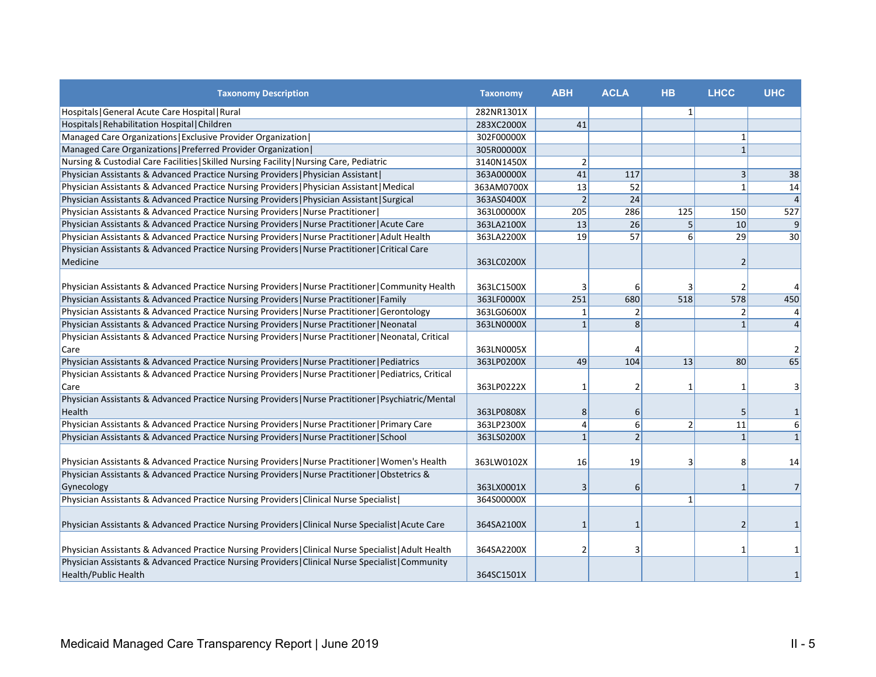| <b>Taxonomy Description</b>                                                                            | <b>Taxonomy</b> | <b>ABH</b>     | <b>ACLA</b>    | <b>HB</b>      | <b>LHCC</b>  | <b>UHC</b>      |
|--------------------------------------------------------------------------------------------------------|-----------------|----------------|----------------|----------------|--------------|-----------------|
| Hospitals   General Acute Care Hospital   Rural                                                        | 282NR1301X      |                |                | $\mathbf{1}$   |              |                 |
| Hospitals   Rehabilitation Hospital   Children                                                         | 283XC2000X      | 41             |                |                |              |                 |
| Managed Care Organizations   Exclusive Provider Organization                                           | 302F00000X      |                |                |                |              |                 |
| Managed Care Organizations   Preferred Provider Organization                                           | 305R00000X      |                |                |                | 1            |                 |
| Nursing & Custodial Care Facilities   Skilled Nursing Facility   Nursing Care, Pediatric               | 3140N1450X      | 2 <sup>1</sup> |                |                |              |                 |
| Physician Assistants & Advanced Practice Nursing Providers   Physician Assistant                       | 363A00000X      | 41             | 117            |                | 3            | 38              |
| Physician Assistants & Advanced Practice Nursing Providers   Physician Assistant   Medical             | 363AM0700X      | 13             | 52             |                | $\mathbf{1}$ | 14              |
| Physician Assistants & Advanced Practice Nursing Providers   Physician Assistant   Surgical            | 363AS0400X      | $\overline{2}$ | 24             |                |              | $\vert$         |
| Physician Assistants & Advanced Practice Nursing Providers   Nurse Practitioner                        | 363L00000X      | 205            | 286            | 125            | 150          | 527             |
| Physician Assistants & Advanced Practice Nursing Providers   Nurse Practitioner   Acute Care           | 363LA2100X      | 13             | 26             | 5              | 10           | $\vert 9 \vert$ |
| Physician Assistants & Advanced Practice Nursing Providers   Nurse Practitioner   Adult Health         | 363LA2200X      | 19             | 57             | 6              | 29           | 30              |
| Physician Assistants & Advanced Practice Nursing Providers   Nurse Practitioner   Critical Care        |                 |                |                |                |              |                 |
| Medicine                                                                                               | 363LC0200X      |                |                |                |              |                 |
|                                                                                                        |                 |                |                |                |              |                 |
| Physician Assistants & Advanced Practice Nursing Providers   Nurse Practitioner   Community Health     | 363LC1500X      | 3              | 6              | 3              |              | $\vert 4 \vert$ |
| Physician Assistants & Advanced Practice Nursing Providers   Nurse Practitioner   Family               | 363LF0000X      | 251            | 680            | 518            | 578          | 450             |
| Physician Assistants & Advanced Practice Nursing Providers   Nurse Practitioner   Gerontology          | 363LG0600X      | 1              | 2              |                | 2            | $\vert 4 \vert$ |
| Physician Assistants & Advanced Practice Nursing Providers   Nurse Practitioner   Neonatal             | 363LN0000X      | $\mathbf{1}$   | 8              |                | $\mathbf{1}$ | $\vert$         |
| Physician Assistants & Advanced Practice Nursing Providers   Nurse Practitioner   Neonatal, Critical   |                 |                |                |                |              |                 |
| Care                                                                                                   | 363LN0005X      |                |                |                |              | $\overline{2}$  |
| Physician Assistants & Advanced Practice Nursing Providers   Nurse Practitioner   Pediatrics           | 363LP0200X      | 49             | 104            | 13             | 80           | 65              |
| Physician Assistants & Advanced Practice Nursing Providers   Nurse Practitioner   Pediatrics, Critical |                 |                |                |                |              |                 |
| Care                                                                                                   | 363LP0222X      | 1              | 2              | 1              |              | $\vert$ 3       |
| Physician Assistants & Advanced Practice Nursing Providers   Nurse Practitioner   Psychiatric/Mental   |                 |                |                |                |              |                 |
| Health                                                                                                 | 363LP0808X      | 8              | $6 \mid$       |                | 5            | $1\vert$        |
| Physician Assistants & Advanced Practice Nursing Providers   Nurse Practitioner   Primary Care         | 363LP2300X      | 4              | $6 \mid$       | $\overline{2}$ | 11           | 6 <sup>1</sup>  |
| Physician Assistants & Advanced Practice Nursing Providers   Nurse Practitioner   School               | 363LS0200X      | $\mathbf{1}$   | $\overline{2}$ |                | $\mathbf{1}$ | 1               |
|                                                                                                        |                 |                |                |                |              |                 |
| Physician Assistants & Advanced Practice Nursing Providers   Nurse Practitioner   Women's Health       | 363LW0102X      | 16             | 19             | 3              | 8            | 14              |
| Physician Assistants & Advanced Practice Nursing Providers   Nurse Practitioner   Obstetrics &         |                 |                |                |                |              |                 |
| Gynecology                                                                                             | 363LX0001X      | 3              | $6 \mid$       |                |              | 7               |
| Physician Assistants & Advanced Practice Nursing Providers   Clinical Nurse Specialist                 | 364S00000X      |                |                | $\mathbf{1}$   |              |                 |
|                                                                                                        |                 |                |                |                |              |                 |
| Physician Assistants & Advanced Practice Nursing Providers   Clinical Nurse Specialist   Acute Care    | 364SA2100X      |                | $\mathbf{1}$   |                |              | $1\vert$        |
|                                                                                                        |                 |                |                |                |              |                 |
| Physician Assistants & Advanced Practice Nursing Providers   Clinical Nurse Specialist   Adult Health  | 364SA2200X      | 2              | 3              |                |              | $1\vert$        |
| Physician Assistants & Advanced Practice Nursing Providers   Clinical Nurse Specialist   Community     |                 |                |                |                |              |                 |
| Health/Public Health                                                                                   | 364SC1501X      |                |                |                |              | $1\vert$        |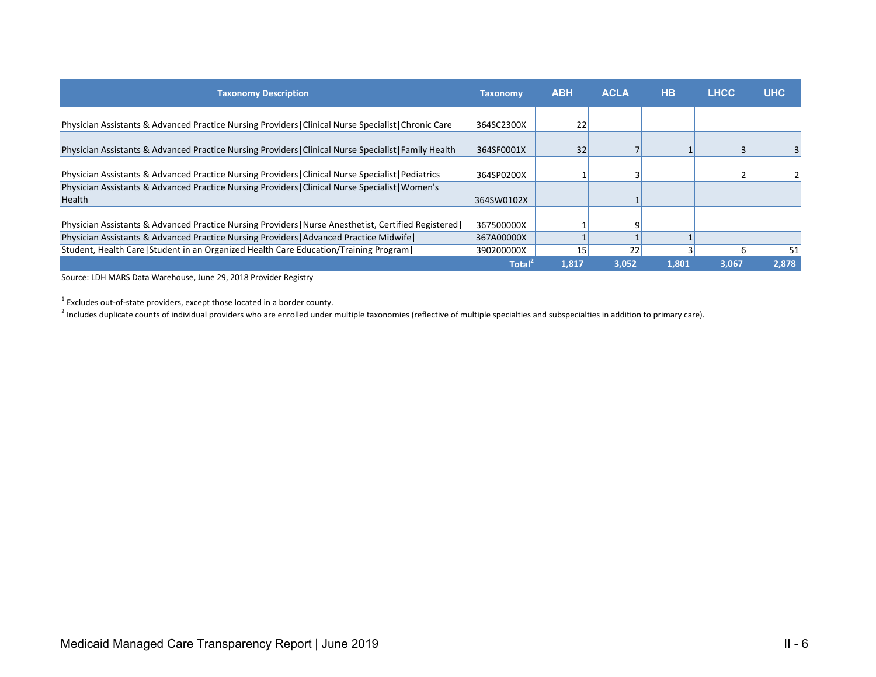| <b>Taxonomy Description</b>                                                                                | <b>Taxonomy</b> | <b>ABH</b> | <b>ACLA</b> | <b>HB</b> | <b>LHCC</b> | <b>UHC</b> |
|------------------------------------------------------------------------------------------------------------|-----------------|------------|-------------|-----------|-------------|------------|
| Physician Assistants & Advanced Practice Nursing Providers   Clinical Nurse Specialist   Chronic Care      | 364SC2300X      | 22         |             |           |             |            |
| Physician Assistants & Advanced Practice Nursing Providers   Clinical Nurse Specialist   Family Health     | 364SF0001X      | 32         |             |           |             |            |
| Physician Assistants & Advanced Practice Nursing Providers   Clinical Nurse Specialist   Pediatrics        | 364SP0200X      |            |             |           |             |            |
| Physician Assistants & Advanced Practice Nursing Providers   Clinical Nurse Specialist   Women's<br>Health | 364SW0102X      |            |             |           |             |            |
| Physician Assistants & Advanced Practice Nursing Providers   Nurse Anesthetist, Certified Registered       | 367500000X      |            | q           |           |             |            |
| Physician Assistants & Advanced Practice Nursing Providers   Advanced Practice Midwife                     | 367A00000X      |            |             |           |             |            |
| Student, Health Care   Student in an Organized Health Care Education/Training Program                      | 390200000X      | 15         | 22          |           |             | 51         |
|                                                                                                            | <b>Total</b>    | 1,817      | 3,052       | 1,801     | 3,067       | 2,878      |

Source: LDH MARS Data Warehouse, June 29, 2018 Provider Registry

<sup>1</sup> Excludes out-of-state providers, except those located in a border county.

<sup>2</sup> Includes duplicate counts of individual providers who are enrolled under multiple taxonomies (reflective of multiple specialties and subspecialties in addition to primary care).